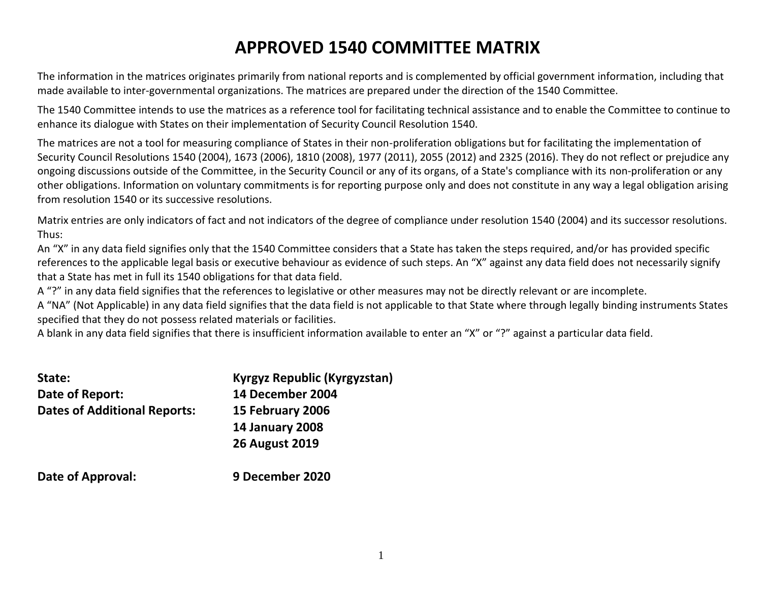# **APPROVED 1540 COMMITTEE MATRIX**

The information in the matrices originates primarily from national reports and is complemented by official government information, including that made available to inter-governmental organizations. The matrices are prepared under the direction of the 1540 Committee.

The 1540 Committee intends to use the matrices as a reference tool for facilitating technical assistance and to enable the Committee to continue to enhance its dialogue with States on their implementation of Security Council Resolution 1540.

The matrices are not a tool for measuring compliance of States in their non-proliferation obligations but for facilitating the implementation of Security Council Resolutions 1540 (2004), 1673 (2006), 1810 (2008), 1977 (2011), 2055 (2012) and 2325 (2016). They do not reflect or prejudice any ongoing discussions outside of the Committee, in the Security Council or any of its organs, of a State's compliance with its non-proliferation or any other obligations. Information on voluntary commitments is for reporting purpose only and does not constitute in any way a legal obligation arising from resolution 1540 or its successive resolutions.

Matrix entries are only indicators of fact and not indicators of the degree of compliance under resolution 1540 (2004) and its successor resolutions. Thus:

An "X" in any data field signifies only that the 1540 Committee considers that a State has taken the steps required, and/or has provided specific references to the applicable legal basis or executive behaviour as evidence of such steps. An "X" against any data field does not necessarily signify that a State has met in full its 1540 obligations for that data field.

A "?" in any data field signifies that the references to legislative or other measures may not be directly relevant or are incomplete.

A "NA" (Not Applicable) in any data field signifies that the data field is not applicable to that State where through legally binding instruments States specified that they do not possess related materials or facilities.

A blank in any data field signifies that there is insufficient information available to enter an "X" or "?" against a particular data field.

| State:                              | Kyrgyz Republic (Kyrgyzstan) |
|-------------------------------------|------------------------------|
| Date of Report:                     | 14 December 2004             |
| <b>Dates of Additional Reports:</b> | 15 February 2006             |
|                                     | <b>14 January 2008</b>       |
|                                     | <b>26 August 2019</b>        |
| Date of Approval:                   | 9 December 2020              |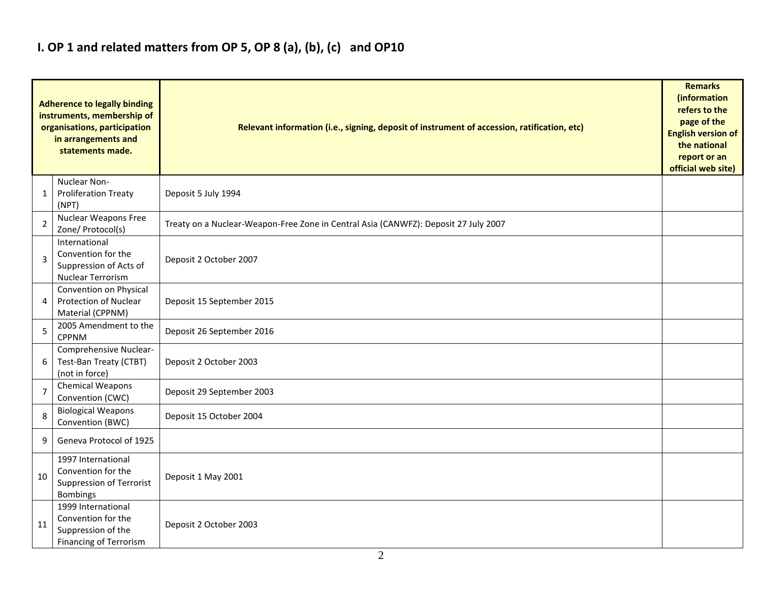## **I. OP 1 and related matters from OP 5, OP 8 (a), (b), (c) and OP10**

|                | <b>Adherence to legally binding</b><br>instruments, membership of<br>organisations, participation<br>in arrangements and<br>statements made. | Relevant information (i.e., signing, deposit of instrument of accession, ratification, etc) |  |  |  |  |  |  |  |  |
|----------------|----------------------------------------------------------------------------------------------------------------------------------------------|---------------------------------------------------------------------------------------------|--|--|--|--|--|--|--|--|
| 1              | Nuclear Non-<br><b>Proliferation Treaty</b><br>(NPT)                                                                                         | Deposit 5 July 1994                                                                         |  |  |  |  |  |  |  |  |
| $\overline{2}$ | <b>Nuclear Weapons Free</b><br>Zone/ Protocol(s)                                                                                             | Treaty on a Nuclear-Weapon-Free Zone in Central Asia (CANWFZ): Deposit 27 July 2007         |  |  |  |  |  |  |  |  |
| 3              | International<br>Convention for the<br>Suppression of Acts of<br>Nuclear Terrorism                                                           | Deposit 2 October 2007                                                                      |  |  |  |  |  |  |  |  |
| 4              | Convention on Physical<br><b>Protection of Nuclear</b><br>Material (CPPNM)                                                                   | Deposit 15 September 2015                                                                   |  |  |  |  |  |  |  |  |
| 5              | 2005 Amendment to the<br><b>CPPNM</b>                                                                                                        | Deposit 26 September 2016                                                                   |  |  |  |  |  |  |  |  |
| 6              | Comprehensive Nuclear-<br>Test-Ban Treaty (CTBT)<br>(not in force)                                                                           | Deposit 2 October 2003                                                                      |  |  |  |  |  |  |  |  |
| $\overline{7}$ | Chemical Weapons<br>Convention (CWC)                                                                                                         | Deposit 29 September 2003                                                                   |  |  |  |  |  |  |  |  |
| 8              | <b>Biological Weapons</b><br>Convention (BWC)                                                                                                | Deposit 15 October 2004                                                                     |  |  |  |  |  |  |  |  |
| 9              | Geneva Protocol of 1925                                                                                                                      |                                                                                             |  |  |  |  |  |  |  |  |
| 10             | 1997 International<br>Convention for the<br>Suppression of Terrorist<br>Bombings                                                             | Deposit 1 May 2001                                                                          |  |  |  |  |  |  |  |  |
| 11             | 1999 International<br>Convention for the<br>Suppression of the<br><b>Financing of Terrorism</b>                                              | Deposit 2 October 2003                                                                      |  |  |  |  |  |  |  |  |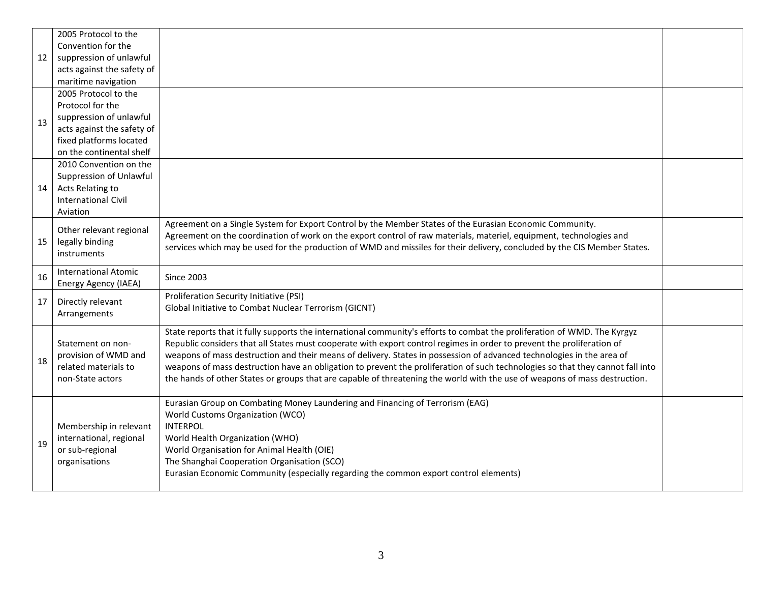|    | 2005 Protocol to the        |                                                                                                                                |  |
|----|-----------------------------|--------------------------------------------------------------------------------------------------------------------------------|--|
|    | Convention for the          |                                                                                                                                |  |
| 12 | suppression of unlawful     |                                                                                                                                |  |
|    | acts against the safety of  |                                                                                                                                |  |
|    | maritime navigation         |                                                                                                                                |  |
|    | 2005 Protocol to the        |                                                                                                                                |  |
|    | Protocol for the            |                                                                                                                                |  |
| 13 | suppression of unlawful     |                                                                                                                                |  |
|    | acts against the safety of  |                                                                                                                                |  |
|    | fixed platforms located     |                                                                                                                                |  |
|    | on the continental shelf    |                                                                                                                                |  |
|    | 2010 Convention on the      |                                                                                                                                |  |
|    | Suppression of Unlawful     |                                                                                                                                |  |
| 14 | Acts Relating to            |                                                                                                                                |  |
|    | <b>International Civil</b>  |                                                                                                                                |  |
|    | Aviation                    |                                                                                                                                |  |
|    | Other relevant regional     | Agreement on a Single System for Export Control by the Member States of the Eurasian Economic Community.                       |  |
| 15 | legally binding             | Agreement on the coordination of work on the export control of raw materials, materiel, equipment, technologies and            |  |
|    | instruments                 | services which may be used for the production of WMD and missiles for their delivery, concluded by the CIS Member States.      |  |
|    |                             |                                                                                                                                |  |
| 16 | <b>International Atomic</b> | <b>Since 2003</b>                                                                                                              |  |
|    | Energy Agency (IAEA)        |                                                                                                                                |  |
| 17 | Directly relevant           | Proliferation Security Initiative (PSI)                                                                                        |  |
|    | Arrangements                | Global Initiative to Combat Nuclear Terrorism (GICNT)                                                                          |  |
|    |                             |                                                                                                                                |  |
|    |                             | State reports that it fully supports the international community's efforts to combat the proliferation of WMD. The Kyrgyz      |  |
|    | Statement on non-           | Republic considers that all States must cooperate with export control regimes in order to prevent the proliferation of         |  |
| 18 | provision of WMD and        | weapons of mass destruction and their means of delivery. States in possession of advanced technologies in the area of          |  |
|    | related materials to        | weapons of mass destruction have an obligation to prevent the proliferation of such technologies so that they cannot fall into |  |
|    | non-State actors            | the hands of other States or groups that are capable of threatening the world with the use of weapons of mass destruction.     |  |
|    |                             |                                                                                                                                |  |
|    |                             | Eurasian Group on Combating Money Laundering and Financing of Terrorism (EAG)                                                  |  |
|    |                             | World Customs Organization (WCO)                                                                                               |  |
|    | Membership in relevant      | <b>INTERPOL</b>                                                                                                                |  |
| 19 | international, regional     | World Health Organization (WHO)                                                                                                |  |
|    | or sub-regional             | World Organisation for Animal Health (OIE)                                                                                     |  |
|    |                             |                                                                                                                                |  |
|    | organisations               | The Shanghai Cooperation Organisation (SCO)                                                                                    |  |
|    |                             | Eurasian Economic Community (especially regarding the common export control elements)                                          |  |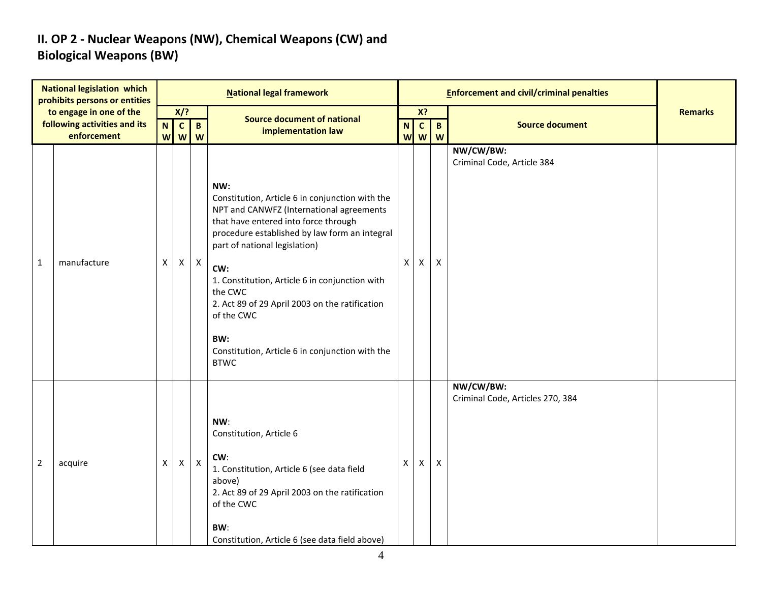### **II. OP 2 - Nuclear Weapons (NW), Chemical Weapons (CW) and Biological Weapons (BW)**

|                | <b>National legislation which</b><br>prohibits persons or entities |        |                           |                           | <b>National legal framework</b>                                                                                                                                                                                                                                                                                                                                                                                                           |              |                   |                    | <b>Enforcement and civil/criminal penalties</b> |                |
|----------------|--------------------------------------------------------------------|--------|---------------------------|---------------------------|-------------------------------------------------------------------------------------------------------------------------------------------------------------------------------------------------------------------------------------------------------------------------------------------------------------------------------------------------------------------------------------------------------------------------------------------|--------------|-------------------|--------------------|-------------------------------------------------|----------------|
|                | to engage in one of the                                            |        | X/?                       |                           | <b>Source document of national</b>                                                                                                                                                                                                                                                                                                                                                                                                        |              | X?                |                    |                                                 | <b>Remarks</b> |
|                | following activities and its<br>enforcement                        | N<br>W | $\mathbf{C}$<br>W         | $\mathbf{B}$<br>W         | implementation law                                                                                                                                                                                                                                                                                                                                                                                                                        | N<br>W       | $\mathbf{C}$<br>W | $\mathbf{B}$<br>W  | <b>Source document</b>                          |                |
| $\mathbf{1}$   | manufacture                                                        | X      | $\boldsymbol{\mathsf{X}}$ | $\boldsymbol{\mathsf{X}}$ | NW:<br>Constitution, Article 6 in conjunction with the<br>NPT and CANWFZ (International agreements<br>that have entered into force through<br>procedure established by law form an integral<br>part of national legislation)<br>CW:<br>1. Constitution, Article 6 in conjunction with<br>the CWC<br>2. Act 89 of 29 April 2003 on the ratification<br>of the CWC<br>BW:<br>Constitution, Article 6 in conjunction with the<br><b>BTWC</b> | $\mathsf{X}$ | $\mathsf{X}$      | X                  | NW/CW/BW:<br>Criminal Code, Article 384         |                |
| $\overline{2}$ | acquire                                                            | X      | $\pmb{\times}$            | $\boldsymbol{\mathsf{X}}$ | NW:<br>Constitution, Article 6<br>CW:<br>1. Constitution, Article 6 (see data field<br>above)<br>2. Act 89 of 29 April 2003 on the ratification<br>of the CWC<br>BW:<br>Constitution, Article 6 (see data field above)                                                                                                                                                                                                                    | X            | X                 | $\pmb{\mathsf{X}}$ | NW/CW/BW:<br>Criminal Code, Articles 270, 384   |                |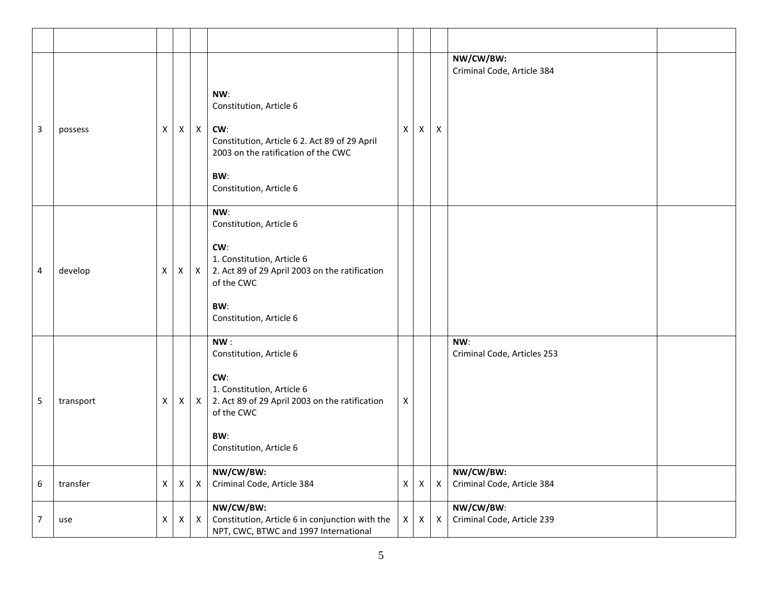| 3              | possess   | $\mathsf{X}$   |                           | $X \mid X$                | NW:<br>Constitution, Article 6<br>CW:<br>Constitution, Article 6 2. Act 89 of 29 April<br>2003 on the ratification of the CWC<br>BW:<br>Constitution, Article 6       | $\mathsf{X}$ | $\mathsf{X}$ | X                         | NW/CW/BW:<br>Criminal Code, Article 384 |  |
|----------------|-----------|----------------|---------------------------|---------------------------|-----------------------------------------------------------------------------------------------------------------------------------------------------------------------|--------------|--------------|---------------------------|-----------------------------------------|--|
| 4              | develop   | $\mathsf{X}$   |                           | $X \mid X$                | NW:<br>Constitution, Article 6<br>CW:<br>1. Constitution, Article 6<br>2. Act 89 of 29 April 2003 on the ratification<br>of the CWC<br>BW:<br>Constitution, Article 6 |              |              |                           |                                         |  |
| 5              | transport | $\mathsf{X}$   |                           | $X \mid X$                | NW:<br>Constitution, Article 6<br>CW:<br>1. Constitution, Article 6<br>2. Act 89 of 29 April 2003 on the ratification<br>of the CWC<br>BW:<br>Constitution, Article 6 | X            |              |                           | NW:<br>Criminal Code, Articles 253      |  |
| 6              | transfer  | $\mathsf{X}^-$ | $\boldsymbol{\mathsf{X}}$ | $\boldsymbol{\mathsf{X}}$ | NW/CW/BW:<br>Criminal Code, Article 384                                                                                                                               | $\mathsf{X}$ | $\mathsf{X}$ | X                         | NW/CW/BW:<br>Criminal Code, Article 384 |  |
| $\overline{7}$ | use       | $\mathsf{X}^-$ | X                         | $\pmb{\times}$            | NW/CW/BW:<br>Constitution, Article 6 in conjunction with the<br>NPT, CWC, BTWC and 1997 International                                                                 | X            | $\times$     | $\boldsymbol{\mathsf{X}}$ | NW/CW/BW:<br>Criminal Code, Article 239 |  |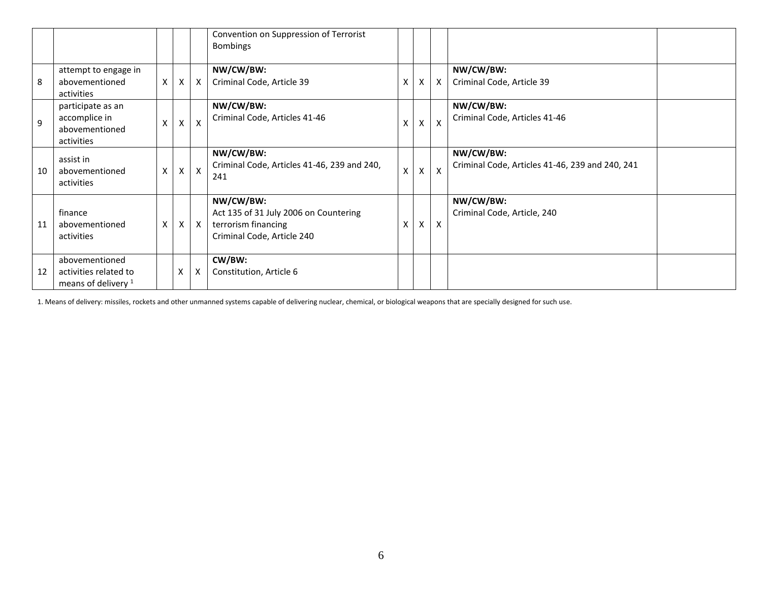|    |                                                                    |    |              |                           | Convention on Suppression of Terrorist<br><b>Bombings</b>                                               |              |              |              |                                                              |  |
|----|--------------------------------------------------------------------|----|--------------|---------------------------|---------------------------------------------------------------------------------------------------------|--------------|--------------|--------------|--------------------------------------------------------------|--|
| 8  | attempt to engage in<br>abovementioned<br>activities               | X. | $\mathsf{X}$ | $\boldsymbol{\mathsf{X}}$ | NW/CW/BW:<br>Criminal Code, Article 39                                                                  | X            | X            | $\mathsf{X}$ | NW/CW/BW:<br>Criminal Code, Article 39                       |  |
| 9  | participate as an<br>accomplice in<br>abovementioned<br>activities | x  | X            |                           | NW/CW/BW:<br>Criminal Code, Articles 41-46                                                              | X            | X            | X            | NW/CW/BW:<br>Criminal Code, Articles 41-46                   |  |
| 10 | assist in<br>abovementioned<br>activities                          | X. | $\times$ 1   | $\mathsf{x}$              | NW/CW/BW:<br>Criminal Code, Articles 41-46, 239 and 240,<br>241                                         | $\mathsf{x}$ | $\mathsf{X}$ | $\mathsf{x}$ | NW/CW/BW:<br>Criminal Code, Articles 41-46, 239 and 240, 241 |  |
| 11 | finance<br>abovementioned<br>activities                            | X  | X            | $\mathsf{X}$              | NW/CW/BW:<br>Act 135 of 31 July 2006 on Countering<br>terrorism financing<br>Criminal Code, Article 240 | Χ            | $\mathsf{x}$ | $\mathsf{x}$ | NW/CW/BW:<br>Criminal Code, Article, 240                     |  |
| 12 | abovementioned<br>activities related to<br>means of delivery $1$   |    | Х            | X                         | CW/BW:<br>Constitution, Article 6                                                                       |              |              |              |                                                              |  |

1. Means of delivery: missiles, rockets and other unmanned systems capable of delivering nuclear, chemical, or biological weapons that are specially designed for such use.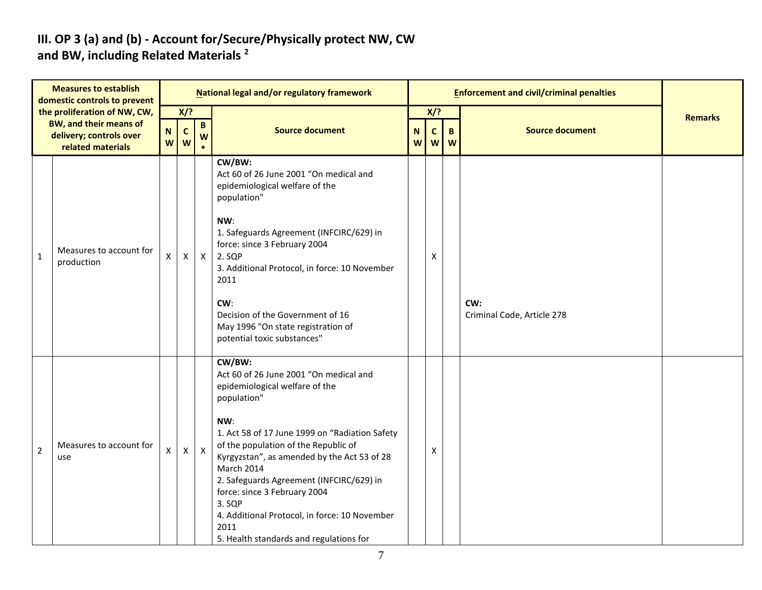#### **III. OP 3 (a) and (b) - Account for/Secure/Physically protect NW, CW and BW, including Related Materials <sup>2</sup>**

|                | <b>Measures to establish</b><br>domestic controls to prevent  |                |                   |                      | National legal and/or regulatory framework                                                                                                                                                                                                                                                                                                                                                                                                                |        |              |                | <b>Enforcement and civil/criminal penalties</b> |                |
|----------------|---------------------------------------------------------------|----------------|-------------------|----------------------|-----------------------------------------------------------------------------------------------------------------------------------------------------------------------------------------------------------------------------------------------------------------------------------------------------------------------------------------------------------------------------------------------------------------------------------------------------------|--------|--------------|----------------|-------------------------------------------------|----------------|
|                | the proliferation of NW, CW,<br><b>BW, and their means of</b> |                | X/?               |                      |                                                                                                                                                                                                                                                                                                                                                                                                                                                           |        | $X$ ?        |                |                                                 | <b>Remarks</b> |
|                | delivery; controls over<br>related materials                  | ${\sf N}$<br>W | $\mathbf{C}$<br>W | $\, {\bf B} \,$<br>W | <b>Source document</b>                                                                                                                                                                                                                                                                                                                                                                                                                                    | N<br>W | $\mathsf{C}$ | B<br>$w$   $w$ | <b>Source document</b>                          |                |
| $\mathbf{1}$   | Measures to account for<br>production                         | X              | X                 | $\mathsf{X}$         | CW/BW:<br>Act 60 of 26 June 2001 "On medical and<br>epidemiological welfare of the<br>population"<br>NW:<br>1. Safeguards Agreement (INFCIRC/629) in<br>force: since 3 February 2004<br>2. SQP<br>3. Additional Protocol, in force: 10 November<br>2011<br>CW:<br>Decision of the Government of 16<br>May 1996 "On state registration of<br>potential toxic substances"                                                                                   |        | Χ            |                | CW:<br>Criminal Code, Article 278               |                |
| $\overline{2}$ | Measures to account for<br>use                                | X              | $\mathsf{X}$      | $\mathsf{X}$         | CW/BW:<br>Act 60 of 26 June 2001 "On medical and<br>epidemiological welfare of the<br>population"<br>NW:<br>1. Act 58 of 17 June 1999 on "Radiation Safety<br>of the population of the Republic of<br>Kyrgyzstan", as amended by the Act 53 of 28<br>March 2014<br>2. Safeguards Agreement (INFCIRC/629) in<br>force: since 3 February 2004<br>3. SQP<br>4. Additional Protocol, in force: 10 November<br>2011<br>5. Health standards and regulations for |        | Χ            |                |                                                 |                |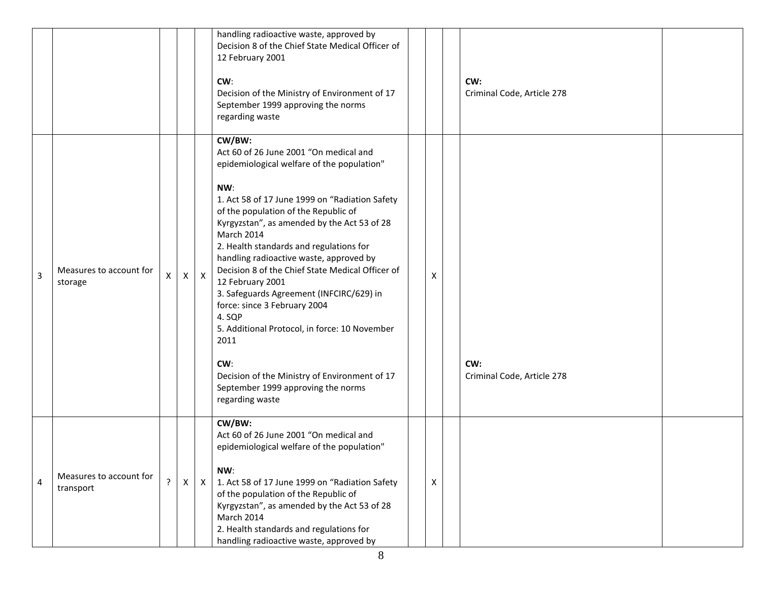|   |                                      |             |          |              | handling radioactive waste, approved by<br>Decision 8 of the Chief State Medical Officer of<br>12 February 2001<br>CW:<br>Decision of the Ministry of Environment of 17<br>September 1999 approving the norms<br>regarding waste                                                                                                                                                                                                                                                                                                                                                                                                                                                           |   | CW:<br>Criminal Code, Article 278 |  |
|---|--------------------------------------|-------------|----------|--------------|--------------------------------------------------------------------------------------------------------------------------------------------------------------------------------------------------------------------------------------------------------------------------------------------------------------------------------------------------------------------------------------------------------------------------------------------------------------------------------------------------------------------------------------------------------------------------------------------------------------------------------------------------------------------------------------------|---|-----------------------------------|--|
| 3 | Measures to account for<br>storage   | X           | $x \mid$ | $\mathsf{X}$ | CW/BW:<br>Act 60 of 26 June 2001 "On medical and<br>epidemiological welfare of the population"<br>NW:<br>1. Act 58 of 17 June 1999 on "Radiation Safety<br>of the population of the Republic of<br>Kyrgyzstan", as amended by the Act 53 of 28<br>March 2014<br>2. Health standards and regulations for<br>handling radioactive waste, approved by<br>Decision 8 of the Chief State Medical Officer of<br>12 February 2001<br>3. Safeguards Agreement (INFCIRC/629) in<br>force: since 3 February 2004<br>4. SQP<br>5. Additional Protocol, in force: 10 November<br>2011<br>CW:<br>Decision of the Ministry of Environment of 17<br>September 1999 approving the norms<br>regarding waste | X | CW:<br>Criminal Code, Article 278 |  |
| 4 | Measures to account for<br>transport | $\tilde{f}$ | $\times$ | $\mathsf{X}$ | CW/BW:<br>Act 60 of 26 June 2001 "On medical and<br>epidemiological welfare of the population"<br>NW:<br>1. Act 58 of 17 June 1999 on "Radiation Safety<br>of the population of the Republic of<br>Kyrgyzstan", as amended by the Act 53 of 28<br>March 2014<br>2. Health standards and regulations for<br>handling radioactive waste, approved by                                                                                                                                                                                                                                                                                                                                         | X |                                   |  |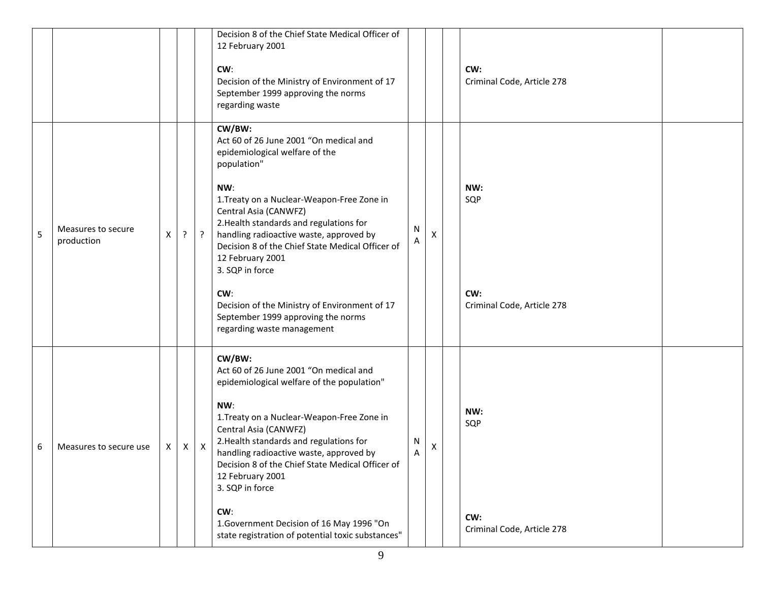|   |                                  |   |              |                           | Decision 8 of the Chief State Medical Officer of<br>12 February 2001<br>CW:<br>Decision of the Ministry of Environment of 17<br>September 1999 approving the norms<br>regarding waste                                                                                                                                                                                                                                                                                                        |        |   | CW:<br>Criminal Code, Article 278               |  |
|---|----------------------------------|---|--------------|---------------------------|----------------------------------------------------------------------------------------------------------------------------------------------------------------------------------------------------------------------------------------------------------------------------------------------------------------------------------------------------------------------------------------------------------------------------------------------------------------------------------------------|--------|---|-------------------------------------------------|--|
| 5 | Measures to secure<br>production | X | $\mathbf{P}$ | $\overline{?}$            | CW/BW:<br>Act 60 of 26 June 2001 "On medical and<br>epidemiological welfare of the<br>population"<br>NW:<br>1. Treaty on a Nuclear-Weapon-Free Zone in<br>Central Asia (CANWFZ)<br>2. Health standards and regulations for<br>handling radioactive waste, approved by<br>Decision 8 of the Chief State Medical Officer of<br>12 February 2001<br>3. SQP in force<br>CW:<br>Decision of the Ministry of Environment of 17<br>September 1999 approving the norms<br>regarding waste management | N<br>A | X | NW:<br>SQP<br>CW:<br>Criminal Code, Article 278 |  |
| 6 | Measures to secure use           | X | X            | $\boldsymbol{\mathsf{X}}$ | CW/BW:<br>Act 60 of 26 June 2001 "On medical and<br>epidemiological welfare of the population"<br>NW:<br>1. Treaty on a Nuclear-Weapon-Free Zone in<br>Central Asia (CANWFZ)<br>2. Health standards and regulations for<br>handling radioactive waste, approved by<br>Decision 8 of the Chief State Medical Officer of<br>12 February 2001<br>3. SQP in force<br>CW:<br>1. Government Decision of 16 May 1996 "On<br>state registration of potential toxic substances"                       | N<br>Α | Х | NW:<br>SQP<br>CW:<br>Criminal Code, Article 278 |  |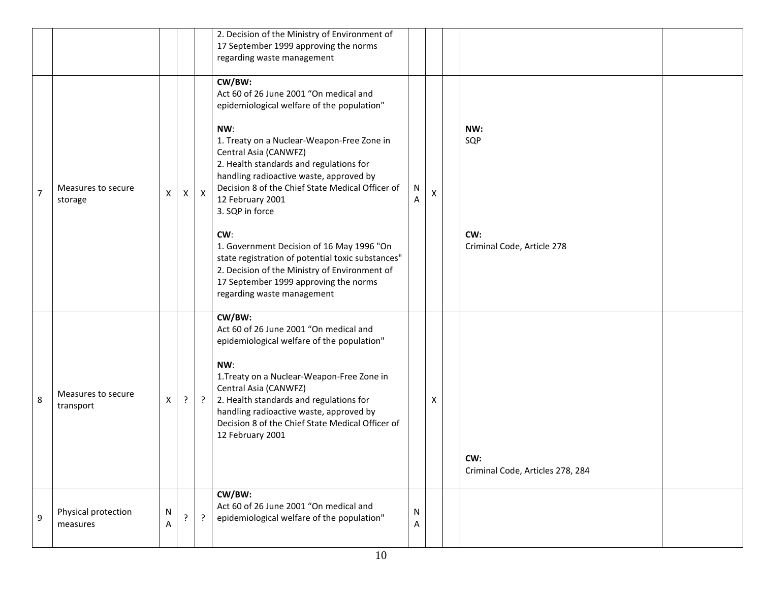|                |                                 |        |                |              | 2. Decision of the Ministry of Environment of<br>17 September 1999 approving the norms<br>regarding waste management                                                                                                                                                                                                                                                                                                                                                                                                                                                                           |        |   |                                                 |  |
|----------------|---------------------------------|--------|----------------|--------------|------------------------------------------------------------------------------------------------------------------------------------------------------------------------------------------------------------------------------------------------------------------------------------------------------------------------------------------------------------------------------------------------------------------------------------------------------------------------------------------------------------------------------------------------------------------------------------------------|--------|---|-------------------------------------------------|--|
| $\overline{7}$ | Measures to secure<br>storage   | X      | X              | $\mathsf{X}$ | CW/BW:<br>Act 60 of 26 June 2001 "On medical and<br>epidemiological welfare of the population"<br>NW:<br>1. Treaty on a Nuclear-Weapon-Free Zone in<br>Central Asia (CANWFZ)<br>2. Health standards and regulations for<br>handling radioactive waste, approved by<br>Decision 8 of the Chief State Medical Officer of<br>12 February 2001<br>3. SQP in force<br>CW:<br>1. Government Decision of 16 May 1996 "On<br>state registration of potential toxic substances"<br>2. Decision of the Ministry of Environment of<br>17 September 1999 approving the norms<br>regarding waste management | N<br>A | X | NW:<br>SQP<br>CW:<br>Criminal Code, Article 278 |  |
| 8              | Measures to secure<br>transport | X      | $\cdot$        | $\ddot{?}$   | CW/BW:<br>Act 60 of 26 June 2001 "On medical and<br>epidemiological welfare of the population"<br>NW:<br>1. Treaty on a Nuclear-Weapon-Free Zone in<br>Central Asia (CANWFZ)<br>2. Health standards and regulations for<br>handling radioactive waste, approved by<br>Decision 8 of the Chief State Medical Officer of<br>12 February 2001                                                                                                                                                                                                                                                     |        | Х | CW:<br>Criminal Code, Articles 278, 284         |  |
| 9              | Physical protection<br>measures | N<br>Α | $\overline{?}$ | $\cdot$      | CW/BW:<br>Act 60 of 26 June 2001 "On medical and<br>epidemiological welfare of the population"                                                                                                                                                                                                                                                                                                                                                                                                                                                                                                 | N<br>A |   |                                                 |  |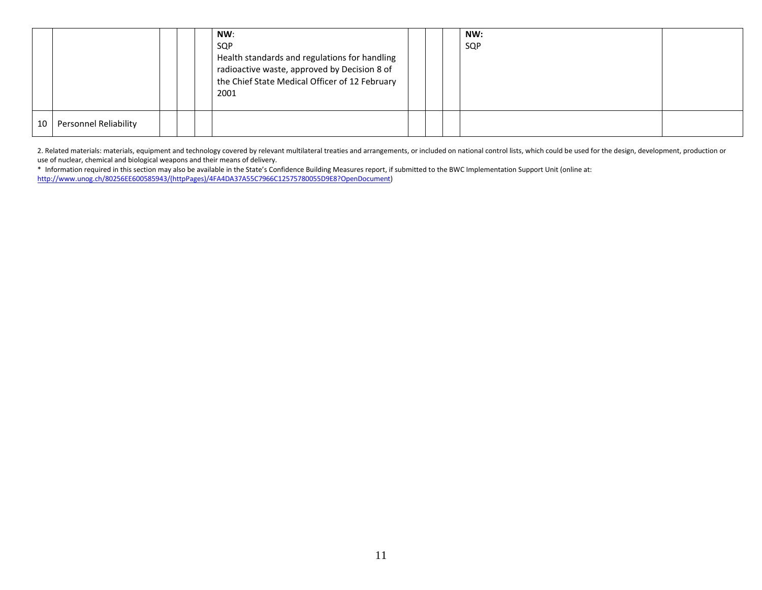|    |                              |  | NW:<br>SQP<br>Health standards and regulations for handling<br>radioactive waste, approved by Decision 8 of<br>the Chief State Medical Officer of 12 February<br>2001 |  | NW:<br>SQP |  |
|----|------------------------------|--|-----------------------------------------------------------------------------------------------------------------------------------------------------------------------|--|------------|--|
| 10 | <b>Personnel Reliability</b> |  |                                                                                                                                                                       |  |            |  |

2. Related materials: materials, equipment and technology covered by relevant multilateral treaties and arrangements, or included on national control lists, which could be used for the design, development, production or use of nuclear, chemical and biological weapons and their means of delivery.

\* Information required in this section may also be available in the State's Confidence Building Measures report, if submitted to the BWC Implementation Support Unit (online at: [http://www.unog.ch/80256EE600585943/\(httpPages\)/4FA4DA37A55C7966C12575780055D9E8?OpenDocument\)](http://www.unog.ch/80256EE600585943/(httpPages)/4FA4DA37A55C7966C12575780055D9E8?OpenDocument)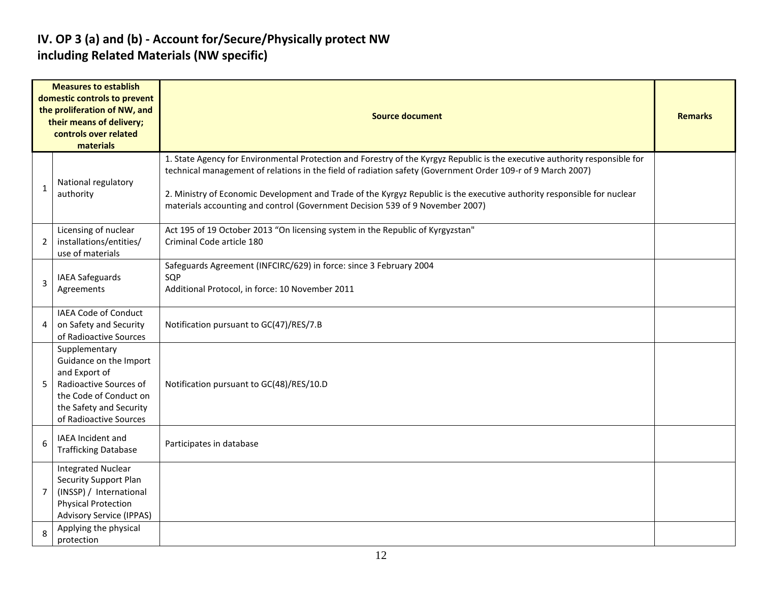#### **IV. OP 3 (a) and (b) - Account for/Secure/Physically protect NW including Related Materials (NW specific)**

|                | <b>Measures to establish</b><br>domestic controls to prevent<br>the proliferation of NW, and<br>their means of delivery;<br>controls over related<br>materials    | <b>Source document</b>                                                                                                                                                                                                                                                                                                                                                                                                                                 |  |  |  |  |  |  |  |  |
|----------------|-------------------------------------------------------------------------------------------------------------------------------------------------------------------|--------------------------------------------------------------------------------------------------------------------------------------------------------------------------------------------------------------------------------------------------------------------------------------------------------------------------------------------------------------------------------------------------------------------------------------------------------|--|--|--|--|--|--|--|--|
| $\mathbf{1}$   | National regulatory<br>authority                                                                                                                                  | 1. State Agency for Environmental Protection and Forestry of the Kyrgyz Republic is the executive authority responsible for<br>technical management of relations in the field of radiation safety (Government Order 109-r of 9 March 2007)<br>2. Ministry of Economic Development and Trade of the Kyrgyz Republic is the executive authority responsible for nuclear<br>materials accounting and control (Government Decision 539 of 9 November 2007) |  |  |  |  |  |  |  |  |
| $\overline{2}$ | Licensing of nuclear<br>installations/entities/<br>use of materials                                                                                               | Act 195 of 19 October 2013 "On licensing system in the Republic of Kyrgyzstan"<br>Criminal Code article 180                                                                                                                                                                                                                                                                                                                                            |  |  |  |  |  |  |  |  |
| 3              | <b>IAEA Safeguards</b><br>Agreements                                                                                                                              | Safeguards Agreement (INFCIRC/629) in force: since 3 February 2004<br>SQP<br>Additional Protocol, in force: 10 November 2011                                                                                                                                                                                                                                                                                                                           |  |  |  |  |  |  |  |  |
| 4              | <b>IAEA Code of Conduct</b><br>on Safety and Security<br>of Radioactive Sources                                                                                   | Notification pursuant to GC(47)/RES/7.B                                                                                                                                                                                                                                                                                                                                                                                                                |  |  |  |  |  |  |  |  |
| 5              | Supplementary<br>Guidance on the Import<br>and Export of<br>Radioactive Sources of<br>the Code of Conduct on<br>the Safety and Security<br>of Radioactive Sources | Notification pursuant to GC(48)/RES/10.D                                                                                                                                                                                                                                                                                                                                                                                                               |  |  |  |  |  |  |  |  |
| 6              | <b>IAEA Incident and</b><br><b>Trafficking Database</b>                                                                                                           | Participates in database                                                                                                                                                                                                                                                                                                                                                                                                                               |  |  |  |  |  |  |  |  |
| $7^{\circ}$    | <b>Integrated Nuclear</b><br>Security Support Plan<br>(INSSP) / International<br><b>Physical Protection</b><br><b>Advisory Service (IPPAS)</b>                    |                                                                                                                                                                                                                                                                                                                                                                                                                                                        |  |  |  |  |  |  |  |  |
| 8              | Applying the physical<br>protection                                                                                                                               |                                                                                                                                                                                                                                                                                                                                                                                                                                                        |  |  |  |  |  |  |  |  |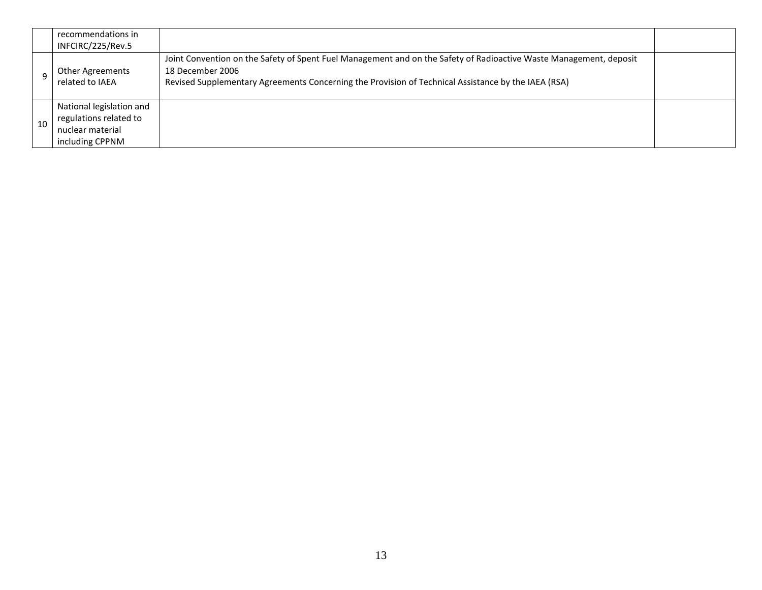|    | recommendations in<br>INFCIRC/225/Rev.5                                                   |                                                                                                                                                                                                                                               |  |
|----|-------------------------------------------------------------------------------------------|-----------------------------------------------------------------------------------------------------------------------------------------------------------------------------------------------------------------------------------------------|--|
|    | Other Agreements<br>related to IAEA                                                       | Joint Convention on the Safety of Spent Fuel Management and on the Safety of Radioactive Waste Management, deposit<br>18 December 2006<br>Revised Supplementary Agreements Concerning the Provision of Technical Assistance by the IAEA (RSA) |  |
| 10 | National legislation and<br>regulations related to<br>nuclear material<br>including CPPNM |                                                                                                                                                                                                                                               |  |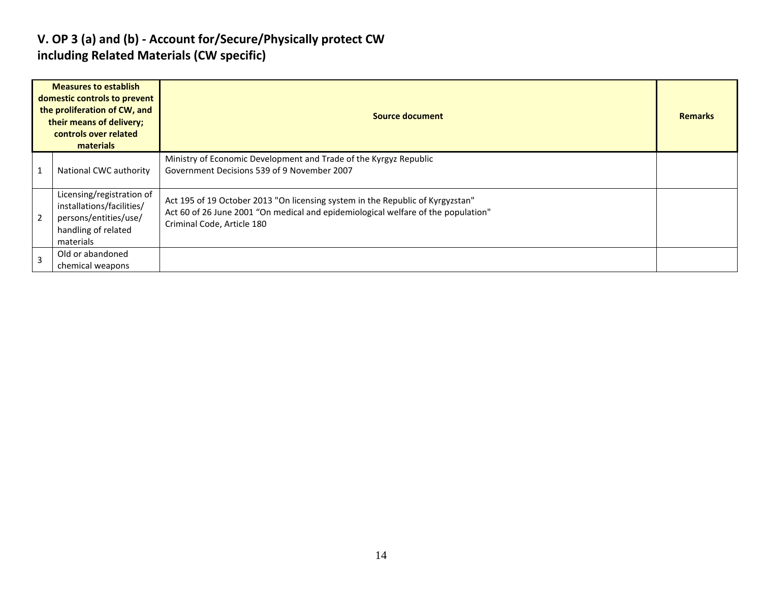#### **V. OP 3 (a) and (b) - Account for/Secure/Physically protect CW including Related Materials (CW specific)**

|                | <b>Measures to establish</b><br>domestic controls to prevent<br>the proliferation of CW, and<br>their means of delivery;<br>controls over related<br>materials | Source document                                                                                                                                                                                   |  |  |  |  |
|----------------|----------------------------------------------------------------------------------------------------------------------------------------------------------------|---------------------------------------------------------------------------------------------------------------------------------------------------------------------------------------------------|--|--|--|--|
|                | National CWC authority                                                                                                                                         | Ministry of Economic Development and Trade of the Kyrgyz Republic<br>Government Decisions 539 of 9 November 2007                                                                                  |  |  |  |  |
| $\overline{2}$ | Licensing/registration of<br>installations/facilities/<br>persons/entities/use/<br>handling of related<br>materials                                            | Act 195 of 19 October 2013 "On licensing system in the Republic of Kyrgyzstan"<br>Act 60 of 26 June 2001 "On medical and epidemiological welfare of the population"<br>Criminal Code, Article 180 |  |  |  |  |
| $\overline{3}$ | Old or abandoned<br>chemical weapons                                                                                                                           |                                                                                                                                                                                                   |  |  |  |  |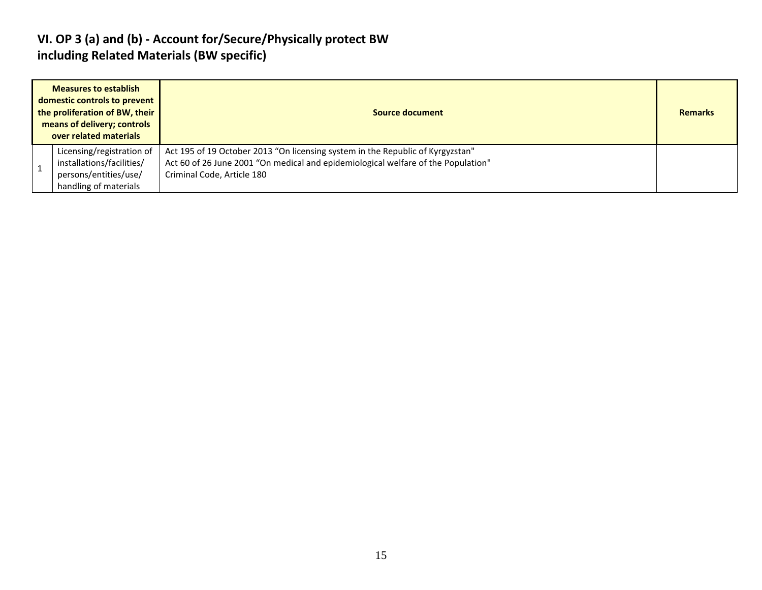#### **VI. OP 3 (a) and (b) - Account for/Secure/Physically protect BW including Related Materials (BW specific)**

| <b>Measures to establish</b><br>domestic controls to prevent<br>the proliferation of BW, their<br>means of delivery; controls<br>over related materials | Source document                                                                                                                                                                                   | <b>Remarks</b> |
|---------------------------------------------------------------------------------------------------------------------------------------------------------|---------------------------------------------------------------------------------------------------------------------------------------------------------------------------------------------------|----------------|
| Licensing/registration of<br>installations/facilities/<br>persons/entities/use/<br>handling of materials                                                | Act 195 of 19 October 2013 "On licensing system in the Republic of Kyrgyzstan"<br>Act 60 of 26 June 2001 "On medical and epidemiological welfare of the Population"<br>Criminal Code, Article 180 |                |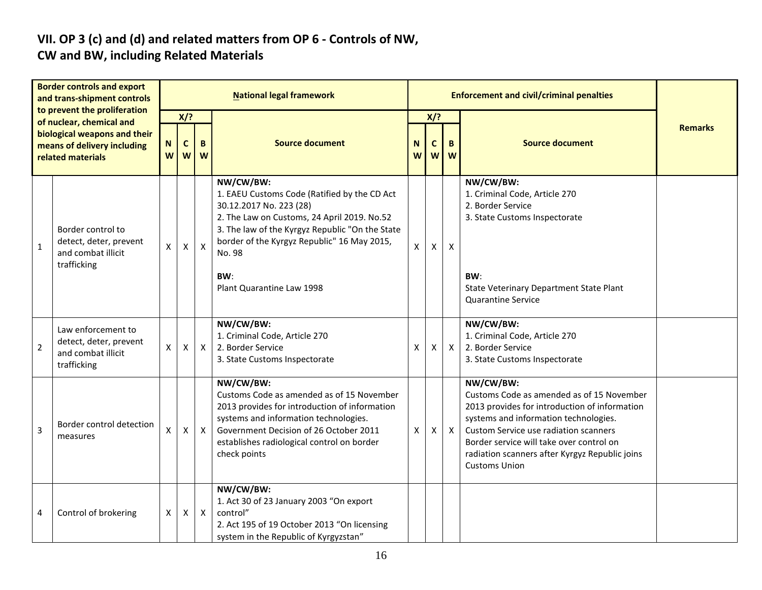# **VII. OP 3 (c) and (d) and related matters from OP 6 - Controls of NW,**

### **CW and BW, including Related Materials**

| <b>Border controls and export</b><br>and trans-shipment controls<br>to prevent the proliferation<br>of nuclear, chemical and<br>biological weapons and their<br>means of delivery including<br>related materials |                                                                                   | <b>National legal framework</b>      |                |                           |                                                                                                                                                                                                                                                          |              |        | <b>Enforcement and civil/criminal penalties</b> |                                                                                                                                                                                                                                                                                                                 |                |  |  |
|------------------------------------------------------------------------------------------------------------------------------------------------------------------------------------------------------------------|-----------------------------------------------------------------------------------|--------------------------------------|----------------|---------------------------|----------------------------------------------------------------------------------------------------------------------------------------------------------------------------------------------------------------------------------------------------------|--------------|--------|-------------------------------------------------|-----------------------------------------------------------------------------------------------------------------------------------------------------------------------------------------------------------------------------------------------------------------------------------------------------------------|----------------|--|--|
|                                                                                                                                                                                                                  |                                                                                   | $X$ ?                                |                |                           |                                                                                                                                                                                                                                                          |              | $X$ ?  |                                                 |                                                                                                                                                                                                                                                                                                                 |                |  |  |
|                                                                                                                                                                                                                  |                                                                                   | N<br>$\mathbf c$<br>B<br>W<br>W<br>W |                |                           | <b>Source document</b>                                                                                                                                                                                                                                   | N<br>W       | C<br>W | B<br>W                                          | <b>Source document</b>                                                                                                                                                                                                                                                                                          | <b>Remarks</b> |  |  |
| $\mathbf{1}$                                                                                                                                                                                                     | Border control to<br>detect, deter, prevent<br>and combat illicit<br>trafficking  | X                                    | $\pmb{\times}$ | $\boldsymbol{\mathsf{X}}$ | NW/CW/BW:<br>1. EAEU Customs Code (Ratified by the CD Act<br>30.12.2017 No. 223 (28)<br>2. The Law on Customs, 24 April 2019. No.52<br>3. The law of the Kyrgyz Republic "On the State<br>border of the Kyrgyz Republic" 16 May 2015,<br>No. 98          | $\mathsf{x}$ | X      | $\pmb{\times}$                                  | NW/CW/BW:<br>1. Criminal Code, Article 270<br>2. Border Service<br>3. State Customs Inspectorate                                                                                                                                                                                                                |                |  |  |
|                                                                                                                                                                                                                  |                                                                                   |                                      |                |                           | BW:<br>Plant Quarantine Law 1998                                                                                                                                                                                                                         |              |        |                                                 | BW:<br>State Veterinary Department State Plant<br><b>Quarantine Service</b>                                                                                                                                                                                                                                     |                |  |  |
| $\overline{2}$                                                                                                                                                                                                   | Law enforcement to<br>detect, deter, prevent<br>and combat illicit<br>trafficking | $\pmb{\mathsf{X}}$                   | X              | $\mathsf{X}$              | NW/CW/BW:<br>1. Criminal Code, Article 270<br>2. Border Service<br>3. State Customs Inspectorate                                                                                                                                                         | Χ            | X      | $\mathsf{X}$                                    | NW/CW/BW:<br>1. Criminal Code, Article 270<br>2. Border Service<br>3. State Customs Inspectorate                                                                                                                                                                                                                |                |  |  |
| $\overline{3}$                                                                                                                                                                                                   | Border control detection<br>measures                                              | X                                    | X              | $\mathsf{X}$              | NW/CW/BW:<br>Customs Code as amended as of 15 November<br>2013 provides for introduction of information<br>systems and information technologies.<br>Government Decision of 26 October 2011<br>establishes radiological control on border<br>check points | X            | Χ      | $\mathsf{X}$                                    | NW/CW/BW:<br>Customs Code as amended as of 15 November<br>2013 provides for introduction of information<br>systems and information technologies.<br>Custom Service use radiation scanners<br>Border service will take over control on<br>radiation scanners after Kyrgyz Republic joins<br><b>Customs Union</b> |                |  |  |
| 4                                                                                                                                                                                                                | Control of brokering                                                              | X                                    | $\pmb{\times}$ | $\boldsymbol{X}$          | NW/CW/BW:<br>1. Act 30 of 23 January 2003 "On export<br>control"<br>2. Act 195 of 19 October 2013 "On licensing<br>system in the Republic of Kyrgyzstan"                                                                                                 |              |        |                                                 |                                                                                                                                                                                                                                                                                                                 |                |  |  |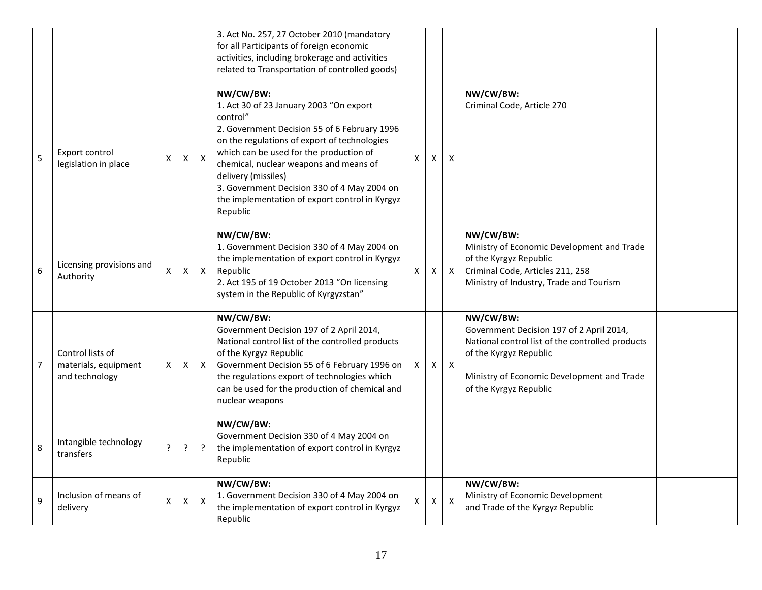|   |                                                            |    |                    |                           | 3. Act No. 257, 27 October 2010 (mandatory<br>for all Participants of foreign economic<br>activities, including brokerage and activities<br>related to Transportation of controlled goods)                                                                                                                                                                                                |    |   |                           |                                                                                                                                                                                                             |  |
|---|------------------------------------------------------------|----|--------------------|---------------------------|-------------------------------------------------------------------------------------------------------------------------------------------------------------------------------------------------------------------------------------------------------------------------------------------------------------------------------------------------------------------------------------------|----|---|---------------------------|-------------------------------------------------------------------------------------------------------------------------------------------------------------------------------------------------------------|--|
| 5 | Export control<br>legislation in place                     | Χ  | $\pmb{\times}$     | $\boldsymbol{\mathsf{X}}$ | NW/CW/BW:<br>1. Act 30 of 23 January 2003 "On export<br>control"<br>2. Government Decision 55 of 6 February 1996<br>on the regulations of export of technologies<br>which can be used for the production of<br>chemical, nuclear weapons and means of<br>delivery (missiles)<br>3. Government Decision 330 of 4 May 2004 on<br>the implementation of export control in Kyrgyz<br>Republic | X  | X | $\pmb{\mathsf{X}}$        | NW/CW/BW:<br>Criminal Code, Article 270                                                                                                                                                                     |  |
| 6 | Licensing provisions and<br>Authority                      | Χ  | X                  | $\mathsf{X}$              | NW/CW/BW:<br>1. Government Decision 330 of 4 May 2004 on<br>the implementation of export control in Kyrgyz<br>Republic<br>2. Act 195 of 19 October 2013 "On licensing<br>system in the Republic of Kyrgyzstan"                                                                                                                                                                            | X  | X | $\mathsf{X}$              | NW/CW/BW:<br>Ministry of Economic Development and Trade<br>of the Kyrgyz Republic<br>Criminal Code, Articles 211, 258<br>Ministry of Industry, Trade and Tourism                                            |  |
| 7 | Control lists of<br>materials, equipment<br>and technology | X. | X                  | X                         | NW/CW/BW:<br>Government Decision 197 of 2 April 2014,<br>National control list of the controlled products<br>of the Kyrgyz Republic<br>Government Decision 55 of 6 February 1996 on<br>the regulations export of technologies which<br>can be used for the production of chemical and<br>nuclear weapons                                                                                  | X. | X | $\mathsf{X}$              | NW/CW/BW:<br>Government Decision 197 of 2 April 2014,<br>National control list of the controlled products<br>of the Kyrgyz Republic<br>Ministry of Economic Development and Trade<br>of the Kyrgyz Republic |  |
| 8 | Intangible technology<br>transfers                         | ?  | $\overline{?}$     | $\ddot{?}$                | NW/CW/BW:<br>Government Decision 330 of 4 May 2004 on<br>the implementation of export control in Kyrgyz<br>Republic                                                                                                                                                                                                                                                                       |    |   |                           |                                                                                                                                                                                                             |  |
| 9 | Inclusion of means of<br>delivery                          | Χ  | $\pmb{\mathsf{X}}$ | $\boldsymbol{\mathsf{X}}$ | NW/CW/BW:<br>1. Government Decision 330 of 4 May 2004 on<br>the implementation of export control in Kyrgyz<br>Republic                                                                                                                                                                                                                                                                    | X  | X | $\boldsymbol{\mathsf{x}}$ | NW/CW/BW:<br>Ministry of Economic Development<br>and Trade of the Kyrgyz Republic                                                                                                                           |  |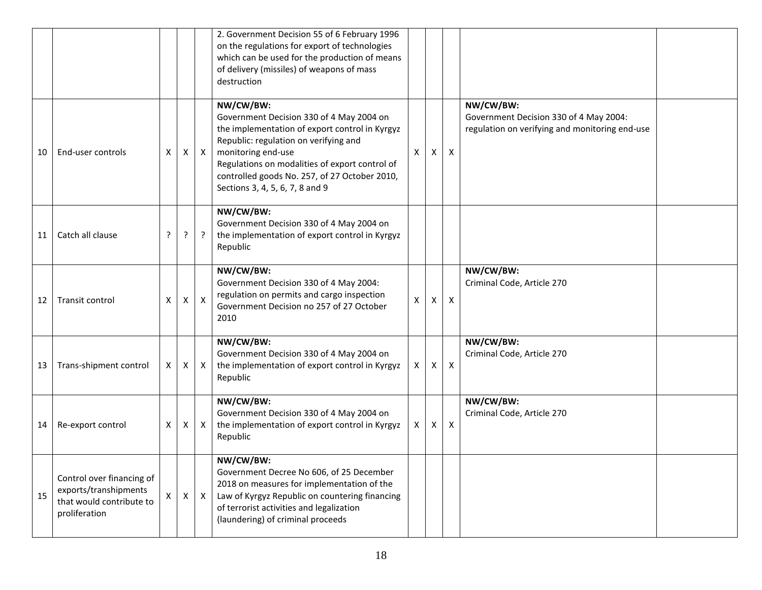|    |                                                                                                 |   |   |                | 2. Government Decision 55 of 6 February 1996<br>on the regulations for export of technologies<br>which can be used for the production of means<br>of delivery (missiles) of weapons of mass<br>destruction                                                                                                   |    |              |                           |                                                                                                       |  |
|----|-------------------------------------------------------------------------------------------------|---|---|----------------|--------------------------------------------------------------------------------------------------------------------------------------------------------------------------------------------------------------------------------------------------------------------------------------------------------------|----|--------------|---------------------------|-------------------------------------------------------------------------------------------------------|--|
| 10 | End-user controls                                                                               | Χ | Χ | $\mathsf{X}$   | NW/CW/BW:<br>Government Decision 330 of 4 May 2004 on<br>the implementation of export control in Kyrgyz<br>Republic: regulation on verifying and<br>monitoring end-use<br>Regulations on modalities of export control of<br>controlled goods No. 257, of 27 October 2010,<br>Sections 3, 4, 5, 6, 7, 8 and 9 | X  | $\mathsf{X}$ | $\boldsymbol{\mathsf{X}}$ | NW/CW/BW:<br>Government Decision 330 of 4 May 2004:<br>regulation on verifying and monitoring end-use |  |
| 11 | Catch all clause                                                                                | ? | ? | $\overline{?}$ | NW/CW/BW:<br>Government Decision 330 of 4 May 2004 on<br>the implementation of export control in Kyrgyz<br>Republic                                                                                                                                                                                          |    |              |                           |                                                                                                       |  |
| 12 | Transit control                                                                                 | X | Χ | $\mathsf{X}$   | NW/CW/BW:<br>Government Decision 330 of 4 May 2004:<br>regulation on permits and cargo inspection<br>Government Decision no 257 of 27 October<br>2010                                                                                                                                                        | Χ  | X            | $\boldsymbol{\mathsf{X}}$ | NW/CW/BW:<br>Criminal Code, Article 270                                                               |  |
| 13 | Trans-shipment control                                                                          | Χ | X | $\mathsf{X}$   | NW/CW/BW:<br>Government Decision 330 of 4 May 2004 on<br>the implementation of export control in Kyrgyz<br>Republic                                                                                                                                                                                          | X. | Χ            | $\boldsymbol{\mathsf{X}}$ | NW/CW/BW:<br>Criminal Code, Article 270                                                               |  |
| 14 | Re-export control                                                                               | Χ | X | $\mathsf{X}$   | NW/CW/BW:<br>Government Decision 330 of 4 May 2004 on<br>the implementation of export control in Kyrgyz<br>Republic                                                                                                                                                                                          | X. | X            | $\boldsymbol{\mathsf{X}}$ | NW/CW/BW:<br>Criminal Code, Article 270                                                               |  |
| 15 | Control over financing of<br>exports/transhipments<br>that would contribute to<br>proliferation | X | X | $\mathsf{X}$   | NW/CW/BW:<br>Government Decree No 606, of 25 December<br>2018 on measures for implementation of the<br>Law of Kyrgyz Republic on countering financing<br>of terrorist activities and legalization<br>(laundering) of criminal proceeds                                                                       |    |              |                           |                                                                                                       |  |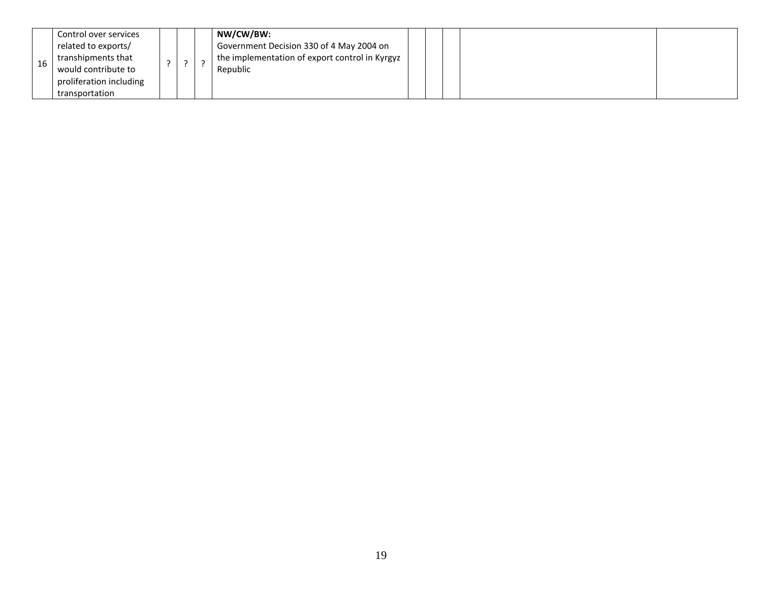| Control over services<br>related to exports/<br>transhipments that<br>16<br>would contribute to<br>proliferation including<br>transportation |  |  |  | NW/CW/BW:<br>Government Decision 330 of 4 May 2004 on<br>the implementation of export control in Kyrgyz<br>Republic |  |  |  |  |  |
|----------------------------------------------------------------------------------------------------------------------------------------------|--|--|--|---------------------------------------------------------------------------------------------------------------------|--|--|--|--|--|
|----------------------------------------------------------------------------------------------------------------------------------------------|--|--|--|---------------------------------------------------------------------------------------------------------------------|--|--|--|--|--|